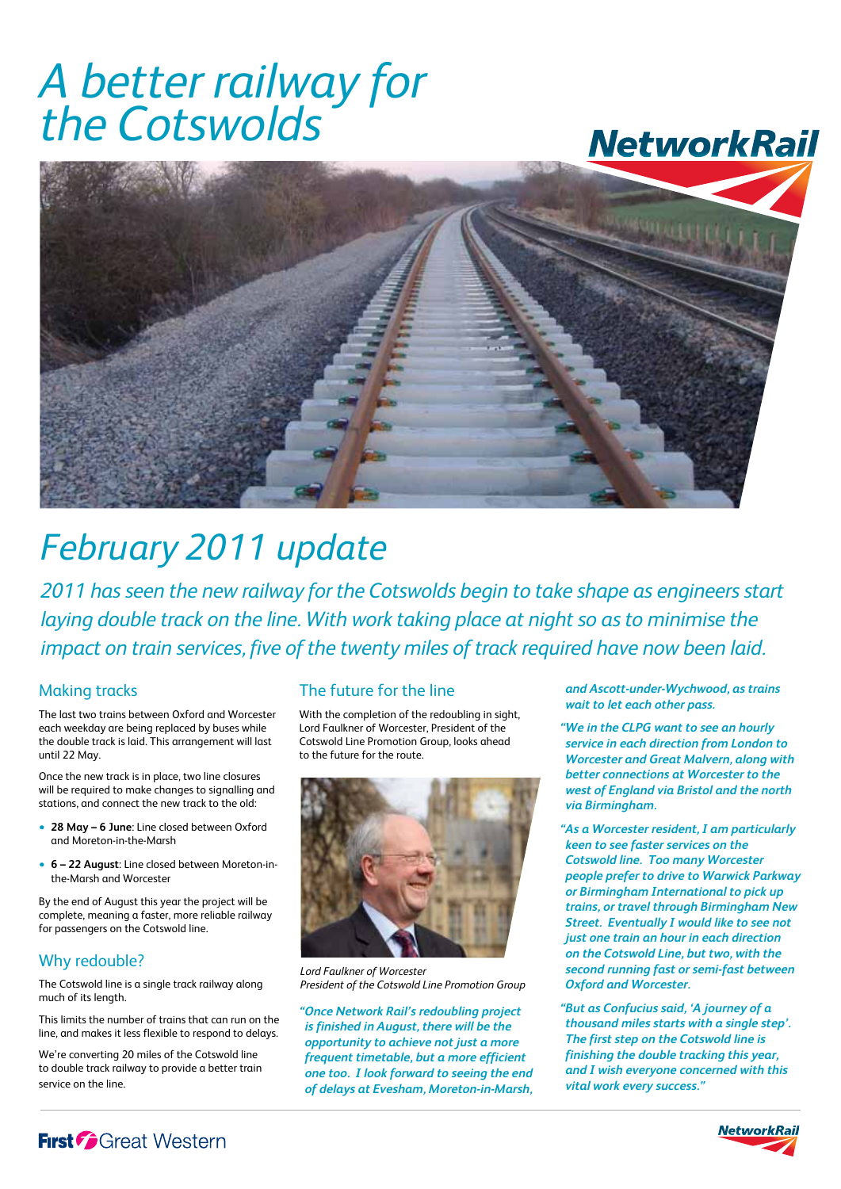# *A better railway for the Cotswolds*

## **NetworkRail**



## *February 2011 update*

*2011 has seen the new railway for the Cotswolds begin to take shape as engineers start laying double track on the line. With work taking place at night so as to minimise the impact on train services, five of the twenty miles of track required have now been laid.*

### Making tracks

The last two trains between Oxford and Worcester each weekday are being replaced by buses while the double track is laid. This arrangement will last until 22 May.

Once the new track is in place, two line closures will be required to make changes to signalling and stations, and connect the new track to the old:

- **28 May 6 June**: Line closed between Oxford and Moreton-in-the-Marsh
- **6 22 August**: Line closed between Moreton-inthe-Marsh and Worcester

By the end of August this year the project will be complete, meaning a faster, more reliable railway for passengers on the Cotswold line.

### Why redouble?

The Cotswold line is a single track railway along much of its length.

This limits the number of trains that can run on the line, and makes it less flexible to respond to delays.

We're converting 20 miles of the Cotswold line to double track railway to provide a better train service on the line.

### The future for the line

With the completion of the redoubling in sight, Lord Faulkner of Worcester, President of the Cotswold Line Promotion Group, looks ahead to the future for the route.



*Lord Faulkner of Worcester President of the Cotswold Line Promotion Group*

*"Once Network Rail's redoubling project is finished in August, there will be the opportunity to achieve not just a more frequent timetable, but a more efficient one too. I look forward to seeing the end of delays at Evesham, Moreton-in-Marsh,*  *and Ascott-under-Wychwood, as trains wait to let each other pass.*

*"We in the CLPG want to see an hourly service in each direction from London to Worcester and Great Malvern, along with better connections at Worcester to the west of England via Bristol and the north via Birmingham.* 

*"As a Worcester resident, I am particularly keen to see faster services on the Cotswold line. Too many Worcester people prefer to drive to Warwick Parkway or Birmingham International to pick up trains, or travel through Birmingham New Street. Eventually I would like to see not just one train an hour in each direction on the Cotswold Line, but two, with the second running fast or semi-fast between Oxford and Worcester.*

*"But as Confucius said, 'A journey of a thousand miles starts with a single step'. The first step on the Cotswold line is finishing the double tracking this year, and I wish everyone concerned with this vital work every success."*